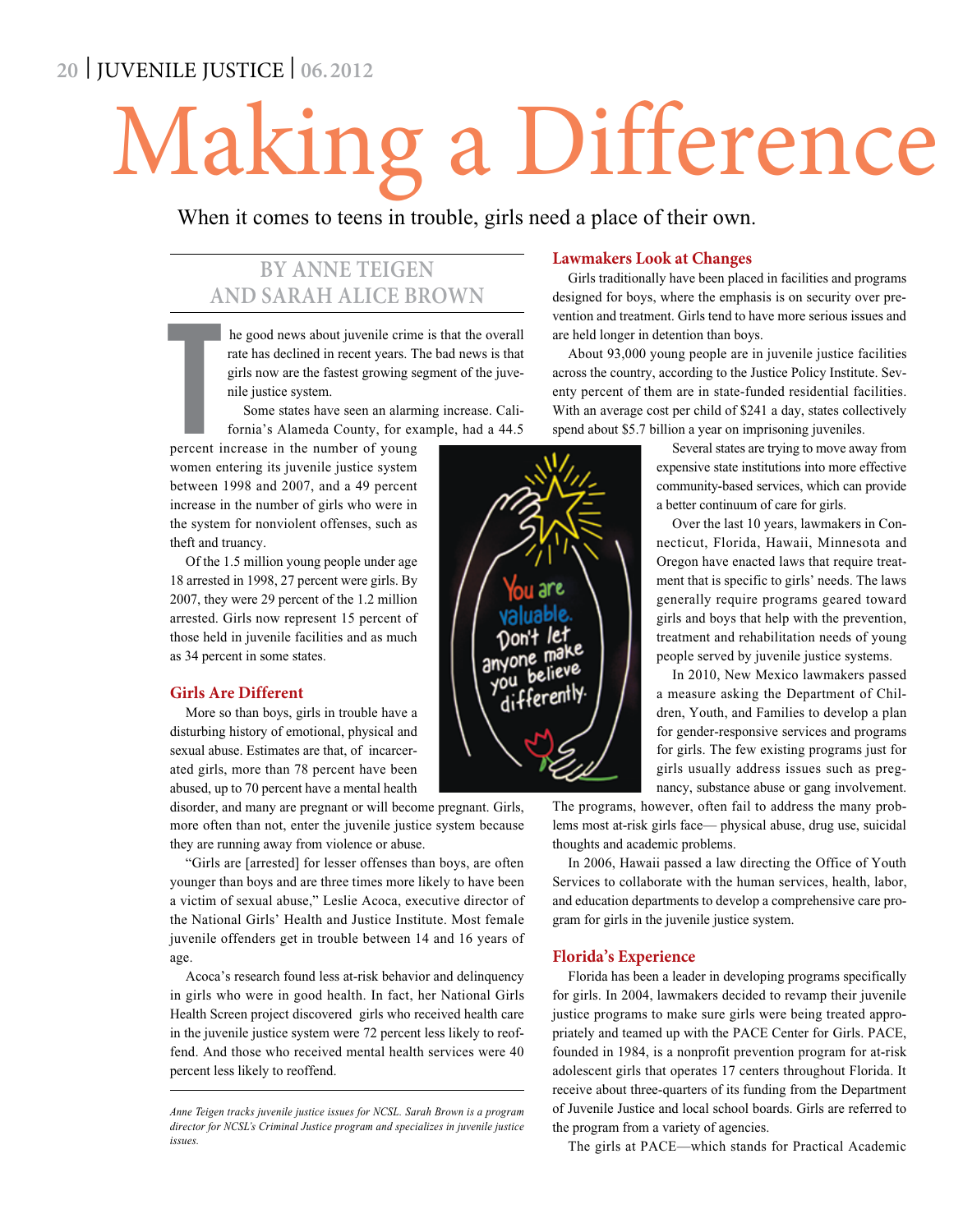## **20** | JUVENILE JUSTICE | **06.2012**

## Making a Difference

When it comes to teens in trouble, girls need a place of their own.

## **By Anne Teigen and Sarah Alice Brown**

he good news about juvenile crime is that the overall rate has declined in recent years. The bad news is that girls now are the fastest growing segment of the juvenile justice system.

Some states have seen an alarming increase. California's Alameda County, for example, had a 44.5

The company of the company of the company of the company of the company of the company of the company of the company of the company of the company of the company of the company of the company of the company of the company percent increase in the number of young women entering its juvenile justice system between 1998 and 2007, and a 49 percent increase in the number of girls who were in the system for nonviolent offenses, such as theft and truancy.

Of the 1.5 million young people under age 18 arrested in 1998, 27 percent were girls. By 2007, they were 29 percent of the 1.2 million arrested. Girls now represent 15 percent of those held in juvenile facilities and as much as 34 percent in some states.

#### **Girls Are Different**

More so than boys, girls in trouble have a disturbing history of emotional, physical and sexual abuse. Estimates are that, of incarcerated girls, more than 78 percent have been abused, up to 70 percent have a mental health

disorder, and many are pregnant or will become pregnant. Girls, more often than not, enter the juvenile justice system because they are running away from violence or abuse.

"Girls are [arrested] for lesser offenses than boys, are often younger than boys and are three times more likely to have been a victim of sexual abuse," Leslie Acoca, executive director of the National Girls' Health and Justice Institute. Most female juvenile offenders get in trouble between 14 and 16 years of age.

Acoca's research found less at-risk behavior and delinquency in girls who were in good health. In fact, her National Girls Health Screen project discovered girls who received health care in the juvenile justice system were 72 percent less likely to reoffend. And those who received mental health services were 40 percent less likely to reoffend.

*Anne Teigen tracks juvenile justice issues for NCSL. Sarah Brown is a program director for NCSL's Criminal Justice program and specializes in juvenile justice issues.* 

#### **Lawmakers Look at Changes**

Girls traditionally have been placed in facilities and programs designed for boys, where the emphasis is on security over prevention and treatment. Girls tend to have more serious issues and are held longer in detention than boys.

About 93,000 young people are in juvenile justice facilities across the country, according to the Justice Policy Institute. Seventy percent of them are in state-funded residential facilities. With an average cost per child of \$241 a day, states collectively spend about \$5.7 billion a year on imprisoning juveniles.

> Several states are trying to move away from expensive state institutions into more effective community-based services, which can provide a better continuum of care for girls.

> Over the last 10 years, lawmakers in Connecticut, Florida, Hawaii, Minnesota and Oregon have enacted laws that require treatment that is specific to girls' needs. The laws generally require programs geared toward girls and boys that help with the prevention, treatment and rehabilitation needs of young people served by juvenile justice systems.

> In 2010, New Mexico lawmakers passed a measure asking the Department of Children, Youth, and Families to develop a plan for gender-responsive services and programs for girls. The few existing programs just for girls usually address issues such as pregnancy, substance abuse or gang involvement.

The programs, however, often fail to address the many problems most at-risk girls face— physical abuse, drug use, suicidal thoughts and academic problems.

In 2006, Hawaii passed a law directing the Office of Youth Services to collaborate with the human services, health, labor, and education departments to develop a comprehensive care program for girls in the juvenile justice system.

#### **Florida's Experience**

Florida has been a leader in developing programs specifically for girls. In 2004, lawmakers decided to revamp their juvenile justice programs to make sure girls were being treated appropriately and teamed up with the PACE Center for Girls. PACE, founded in 1984, is a nonprofit prevention program for at-risk adolescent girls that operates 17 centers throughout Florida. It receive about three-quarters of its funding from the Department of Juvenile Justice and local school boards. Girls are referred to the program from a variety of agencies.

The girls at PACE—which stands for Practical Academic

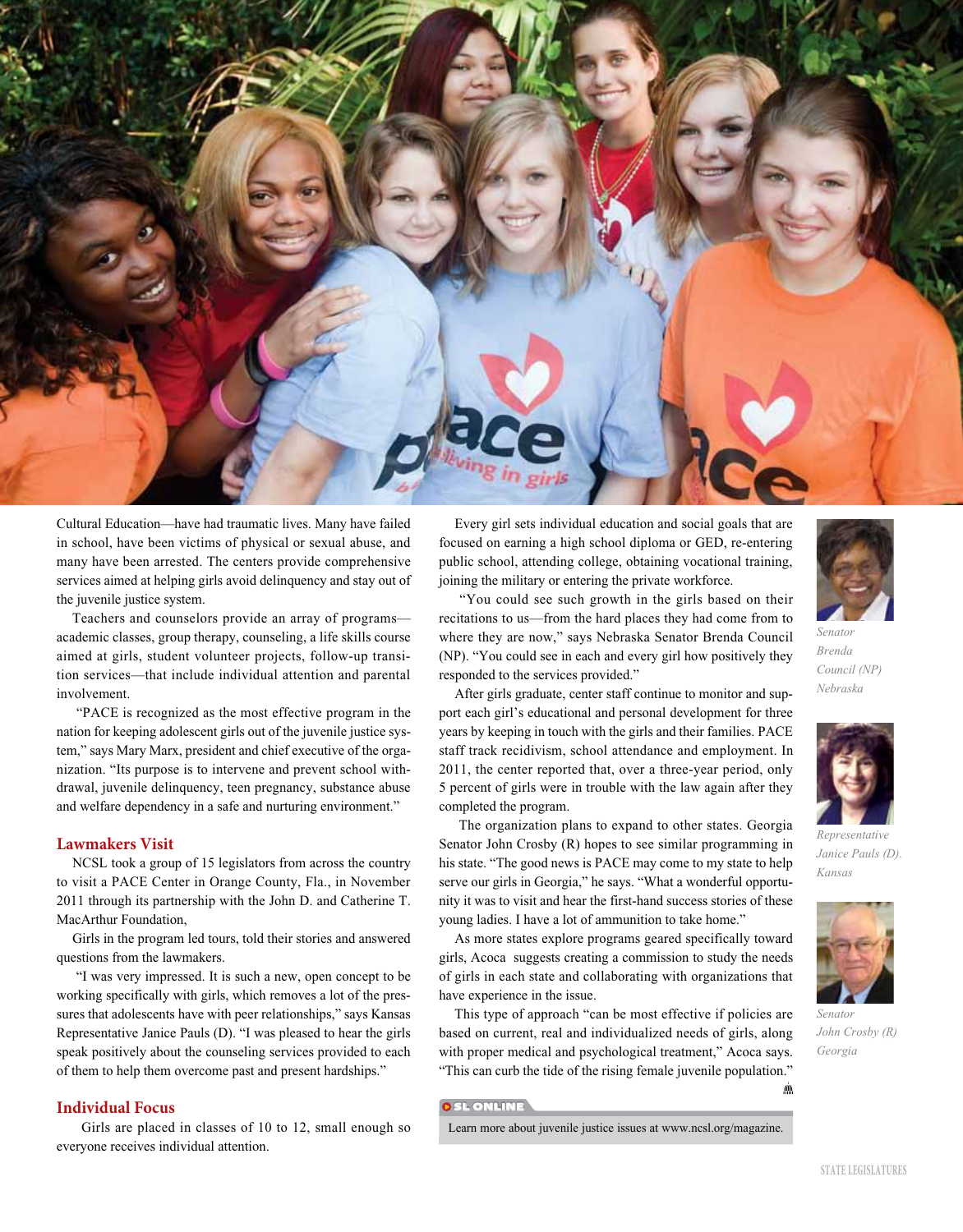

Cultural Education—have had traumatic lives. Many have failed in school, have been victims of physical or sexual abuse, and many have been arrested. The centers provide comprehensive services aimed at helping girls avoid delinquency and stay out of the juvenile justice system.

Teachers and counselors provide an array of programs academic classes, group therapy, counseling, a life skills course aimed at girls, student volunteer projects, follow-up transition services—that include individual attention and parental involvement.

 "PACE is recognized as the most effective program in the nation for keeping adolescent girls out of the juvenile justice system," says Mary Marx, president and chief executive of the organization. "Its purpose is to intervene and prevent school withdrawal, juvenile delinquency, teen pregnancy, substance abuse and welfare dependency in a safe and nurturing environment."

#### **Lawmakers Visit**

NCSL took a group of 15 legislators from across the country to visit a PACE Center in Orange County, Fla., in November 2011 through its partnership with the John D. and Catherine T. MacArthur Foundation,

Girls in the program led tours, told their stories and answered questions from the lawmakers.

 "I was very impressed. It is such a new, open concept to be working specifically with girls, which removes a lot of the pressures that adolescents have with peer relationships," says Kansas Representative Janice Pauls (D). "I was pleased to hear the girls speak positively about the counseling services provided to each of them to help them overcome past and present hardships."

#### **Individual Focus**

 Girls are placed in classes of 10 to 12, small enough so everyone receives individual attention.

Every girl sets individual education and social goals that are focused on earning a high school diploma or GED, re-entering public school, attending college, obtaining vocational training, joining the military or entering the private workforce.

 "You could see such growth in the girls based on their recitations to us—from the hard places they had come from to where they are now," says Nebraska Senator Brenda Council (NP). "You could see in each and every girl how positively they responded to the services provided."

After girls graduate, center staff continue to monitor and support each girl's educational and personal development for three years by keeping in touch with the girls and their families. PACE staff track recidivism, school attendance and employment. In 2011, the center reported that, over a three-year period, only 5 percent of girls were in trouble with the law again after they completed the program.

The organization plans to expand to other states. Georgia Senator John Crosby (R) hopes to see similar programming in his state. "The good news is PACE may come to my state to help serve our girls in Georgia," he says. "What a wonderful opportunity it was to visit and hear the first-hand success stories of these young ladies. I have a lot of ammunition to take home."

As more states explore programs geared specifically toward girls, Acoca suggests creating a commission to study the needs of girls in each state and collaborating with organizations that have experience in the issue.

This type of approach "can be most effective if policies are based on current, real and individualized needs of girls, along with proper medical and psychological treatment," Acoca says. "This can curb the tide of the rising female juvenile population."

#### **OSLONLINE**

Learn more about juvenile justice issues at www.ncsl.org/magazine.



*Senator Brenda Council (NP) Nebraska* 



*Janice Pauls (D). Kansas* 



*John Crosby (R) Georgia* 

*Senator* 

л'n